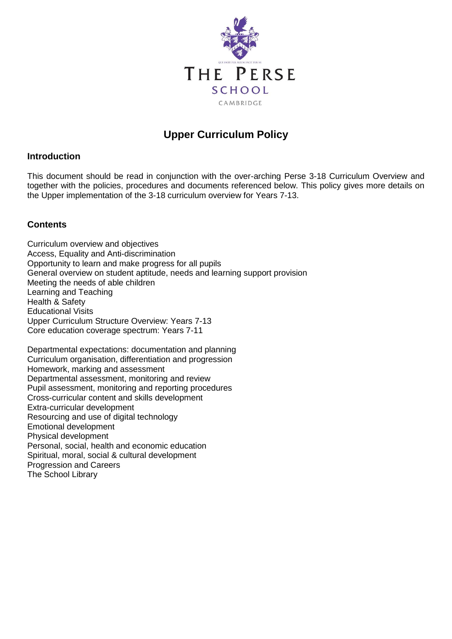

# **Upper Curriculum Policy**

# **Introduction**

This document should be read in conjunction with the over-arching Perse 3-18 Curriculum Overview and together with the policies, procedures and documents referenced below. This policy gives more details on the Upper implementation of the 3-18 curriculum overview for Years 7-13.

# **Contents**

Curriculum overview and objectives Access, Equality and Anti-discrimination Opportunity to learn and make progress for all pupils General overview on student aptitude, needs and learning support provision Meeting the needs of able children Learning and Teaching Health & Safety Educational Visits Upper Curriculum Structure Overview: Years 7-13 Core education coverage spectrum: Years 7-11

Departmental expectations: documentation and planning Curriculum organisation, differentiation and progression Homework, marking and assessment Departmental assessment, monitoring and review Pupil assessment, monitoring and reporting procedures Cross-curricular content and skills development Extra-curricular development Resourcing and use of digital technology Emotional development Physical development Personal, social, health and economic education Spiritual, moral, social & cultural development Progression and Careers The School Library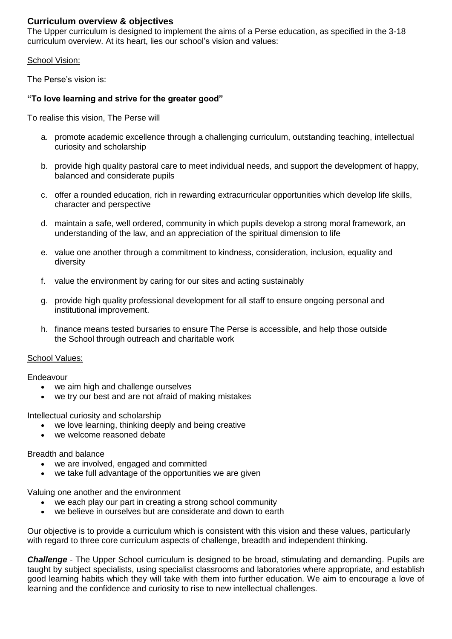# **Curriculum overview & objectives**

The Upper curriculum is designed to implement the aims of a Perse education, as specified in the 3-18 curriculum overview. At its heart, lies our school's vision and values:

#### School Vision:

The Perse's vision is:

#### **"To love learning and strive for the greater good"**

To realise this vision, The Perse will

- a. promote academic excellence through a challenging curriculum, outstanding teaching, intellectual curiosity and scholarship
- b. provide high quality pastoral care to meet individual needs, and support the development of happy, balanced and considerate pupils
- c. offer a rounded education, rich in rewarding extracurricular opportunities which develop life skills, character and perspective
- d. maintain a safe, well ordered, community in which pupils develop a strong moral framework, an understanding of the law, and an appreciation of the spiritual dimension to life
- e. value one another through a commitment to kindness, consideration, inclusion, equality and diversity
- f. value the environment by caring for our sites and acting sustainably
- g. provide high quality professional development for all staff to ensure ongoing personal and institutional improvement.
- h. finance means tested bursaries to ensure The Perse is accessible, and help those outside the School through outreach and charitable work

#### School Values:

Endeavour

- we aim high and challenge ourselves
- we try our best and are not afraid of making mistakes

Intellectual curiosity and scholarship

- we love learning, thinking deeply and being creative
- we welcome reasoned debate

Breadth and balance

- we are involved, engaged and committed
- we take full advantage of the opportunities we are given

Valuing one another and the environment

- we each play our part in creating a strong school community
- we believe in ourselves but are considerate and down to earth

Our objective is to provide a curriculum which is consistent with this vision and these values, particularly with regard to three core curriculum aspects of challenge, breadth and independent thinking.

*Challenge* - The Upper School curriculum is designed to be broad, stimulating and demanding. Pupils are taught by subject specialists, using specialist classrooms and laboratories where appropriate, and establish good learning habits which they will take with them into further education. We aim to encourage a love of learning and the confidence and curiosity to rise to new intellectual challenges.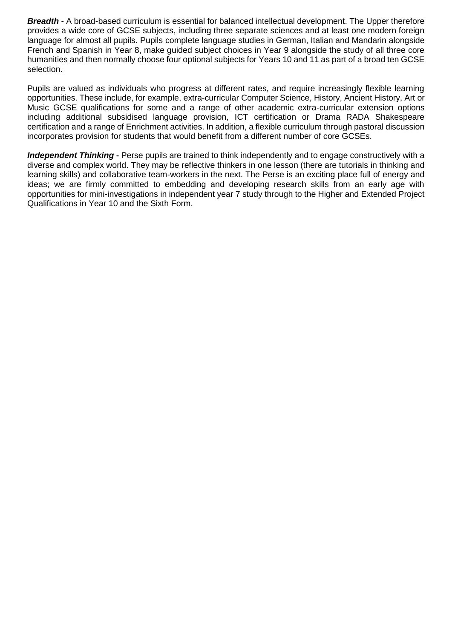*Breadth* - A broad-based curriculum is essential for balanced intellectual development. The Upper therefore provides a wide core of GCSE subjects, including three separate sciences and at least one modern foreign language for almost all pupils. Pupils complete language studies in German, Italian and Mandarin alongside French and Spanish in Year 8, make guided subject choices in Year 9 alongside the study of all three core humanities and then normally choose four optional subjects for Years 10 and 11 as part of a broad ten GCSE selection.

Pupils are valued as individuals who progress at different rates, and require increasingly flexible learning opportunities. These include, for example, extra-curricular Computer Science, History, Ancient History, Art or Music GCSE qualifications for some and a range of other academic extra-curricular extension options including additional subsidised language provision, ICT certification or Drama RADA Shakespeare certification and a range of Enrichment activities. In addition, a flexible curriculum through pastoral discussion incorporates provision for students that would benefit from a different number of core GCSEs.

*Independent Thinking* **-** Perse pupils are trained to think independently and to engage constructively with a diverse and complex world. They may be reflective thinkers in one lesson (there are tutorials in thinking and learning skills) and collaborative team-workers in the next. The Perse is an exciting place full of energy and ideas; we are firmly committed to embedding and developing research skills from an early age with opportunities for mini-investigations in independent year 7 study through to the Higher and Extended Project Qualifications in Year 10 and the Sixth Form.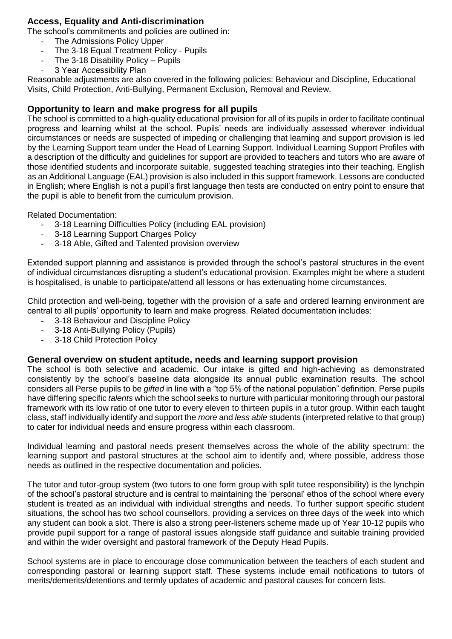# **Access, Equality and Anti-discrimination**

The school's commitments and policies are outlined in:

- The Admissions Policy Upper
- The 3-18 Equal Treatment Policy Pupils
- The 3-18 Disability Policy Pupils
- 3 Year Accessibility Plan

Reasonable adjustments are also covered in the following policies: Behaviour and Discipline, Educational Visits, Child Protection, Anti-Bullying, Permanent Exclusion, Removal and Review.

# **Opportunity to learn and make progress for all pupils**

The school is committed to a high-quality educational provision for all of its pupils in order to facilitate continual progress and learning whilst at the school. Pupils' needs are individually assessed wherever individual circumstances or needs are suspected of impeding or challenging that learning and support provision is led by the Learning Support team under the Head of Learning Support. Individual Learning Support Profiles with a description of the difficulty and guidelines for support are provided to teachers and tutors who are aware of those identified students and incorporate suitable, suggested teaching strategies into their teaching. English as an Additional Language (EAL) provision is also included in this support framework. Lessons are conducted in English; where English is not a pupil's first language then tests are conducted on entry point to ensure that the pupil is able to benefit from the curriculum provision.

Related Documentation:

- 3-18 Learning Difficulties Policy (including EAL provision)
- 3-18 Learning Support Charges Policy
- 3-18 Able, Gifted and Talented provision overview

Extended support planning and assistance is provided through the school's pastoral structures in the event of individual circumstances disrupting a student's educational provision. Examples might be where a student is hospitalised, is unable to participate/attend all lessons or has extenuating home circumstances.

Child protection and well-being, together with the provision of a safe and ordered learning environment are central to all pupils' opportunity to learn and make progress. Related documentation includes:

- 3-18 Behaviour and Discipline Policy
- 3-18 Anti-Bullving Policy (Pupils)
- 3-18 Child Protection Policy

#### **General overview on student aptitude, needs and learning support provision**

The school is both selective and academic. Our intake is gifted and high-achieving as demonstrated consistently by the school's baseline data alongside its annual public examination results. The school considers all Perse pupils to be *gifted* in line with a "top 5% of the national population" definition. Perse pupils have differing specific *talents* which the school seeks to nurture with particular monitoring through our pastoral framework with its low ratio of one tutor to every eleven to thirteen pupils in a tutor group. Within each taught class, staff individually identify and support the *more* and *less able* students (interpreted relative to that group) to cater for individual needs and ensure progress within each classroom.

Individual learning and pastoral needs present themselves across the whole of the ability spectrum: the learning support and pastoral structures at the school aim to identify and, where possible, address those needs as outlined in the respective documentation and policies.

The tutor and tutor-group system (two tutors to one form group with split tutee responsibility) is the lynchpin of the school's pastoral structure and is central to maintaining the 'personal' ethos of the school where every student is treated as an individual with individual strengths and needs. To further support specific student situations, the school has two school counsellors, providing a services on three days of the week into which any student can book a slot. There is also a strong peer-listeners scheme made up of Year 10-12 pupils who provide pupil support for a range of pastoral issues alongside staff guidance and suitable training provided and within the wider oversight and pastoral framework of the Deputy Head Pupils.

School systems are in place to encourage close communication between the teachers of each student and corresponding pastoral or learning support staff. These systems include email notifications to tutors of merits/demerits/detentions and termly updates of academic and pastoral causes for concern lists.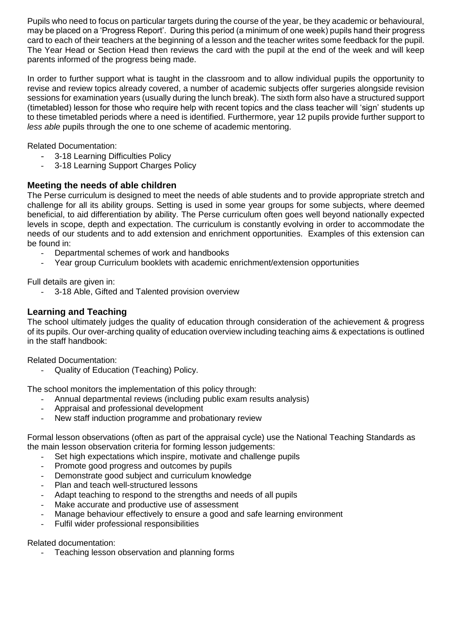Pupils who need to focus on particular targets during the course of the year, be they academic or behavioural, may be placed on a 'Progress Report'. During this period (a minimum of one week) pupils hand their progress card to each of their teachers at the beginning of a lesson and the teacher writes some feedback for the pupil. The Year Head or Section Head then reviews the card with the pupil at the end of the week and will keep parents informed of the progress being made.

In order to further support what is taught in the classroom and to allow individual pupils the opportunity to revise and review topics already covered, a number of academic subjects offer surgeries alongside revision sessions for examination years (usually during the lunch break). The sixth form also have a structured support (timetabled) lesson for those who require help with recent topics and the class teacher will 'sign' students up to these timetabled periods where a need is identified. Furthermore, year 12 pupils provide further support to *less able* pupils through the one to one scheme of academic mentoring.

Related Documentation:

- 3-18 Learning Difficulties Policy
- 3-18 Learning Support Charges Policy

# **Meeting the needs of able children**

The Perse curriculum is designed to meet the needs of able students and to provide appropriate stretch and challenge for all its ability groups. Setting is used in some year groups for some subjects, where deemed beneficial, to aid differentiation by ability. The Perse curriculum often goes well beyond nationally expected levels in scope, depth and expectation. The curriculum is constantly evolving in order to accommodate the needs of our students and to add extension and enrichment opportunities. Examples of this extension can be found in:

- Departmental schemes of work and handbooks
- Year group Curriculum booklets with academic enrichment/extension opportunities

Full details are given in:

3-18 Able, Gifted and Talented provision overview

# **Learning and Teaching**

The school ultimately judges the quality of education through consideration of the achievement & progress of its pupils. Our over-arching quality of education overview including teaching aims & expectations is outlined in the staff handbook:

Related Documentation:

- Quality of Education (Teaching) Policy.

The school monitors the implementation of this policy through:

- Annual departmental reviews (including public exam results analysis)
- Appraisal and professional development
- New staff induction programme and probationary review

Formal lesson observations (often as part of the appraisal cycle) use the National Teaching Standards as the main lesson observation criteria for forming lesson judgements:

- Set high expectations which inspire, motivate and challenge pupils
- Promote good progress and outcomes by pupils
- Demonstrate good subject and curriculum knowledge
- Plan and teach well-structured lessons
- Adapt teaching to respond to the strengths and needs of all pupils
- Make accurate and productive use of assessment
- Manage behaviour effectively to ensure a good and safe learning environment
- Fulfil wider professional responsibilities

#### Related documentation:

Teaching lesson observation and planning forms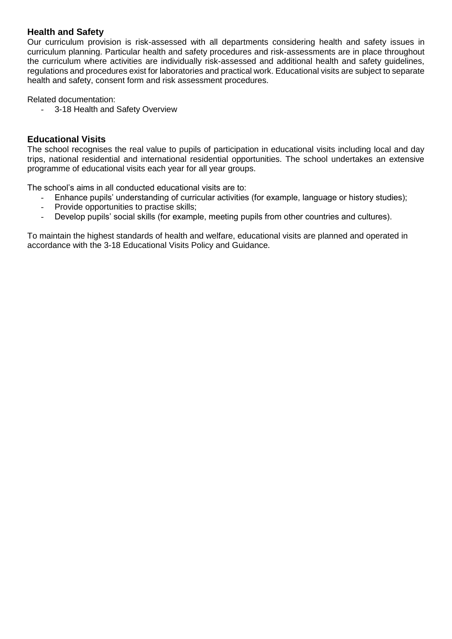### **Health and Safety**

Our curriculum provision is risk-assessed with all departments considering health and safety issues in curriculum planning. Particular health and safety procedures and risk-assessments are in place throughout the curriculum where activities are individually risk-assessed and additional health and safety guidelines, regulations and procedures exist for laboratories and practical work. Educational visits are subject to separate health and safety, consent form and risk assessment procedures.

Related documentation:

- 3-18 Health and Safety Overview

### **Educational Visits**

The school recognises the real value to pupils of participation in educational visits including local and day trips, national residential and international residential opportunities. The school undertakes an extensive programme of educational visits each year for all year groups.

The school's aims in all conducted educational visits are to:

- Enhance pupils' understanding of curricular activities (for example, language or history studies);
- Provide opportunities to practise skills;
- Develop pupils' social skills (for example, meeting pupils from other countries and cultures).

To maintain the highest standards of health and welfare, educational visits are planned and operated in accordance with the 3-18 Educational Visits Policy and Guidance.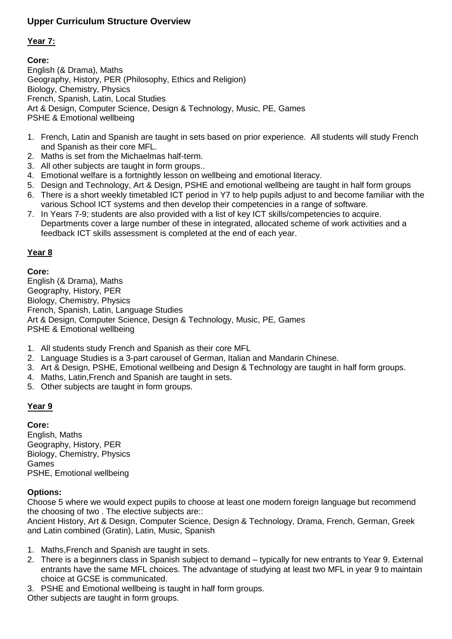# **Upper Curriculum Structure Overview**

# **Year 7:**

# **Core:**

PSHE & Emotional wellbeing Art & Design, Computer Science, Design & Technology, Music, PE, Games French, Spanish, Latin, Local Studies Biology, Chemistry, Physics Geography, History, PER (Philosophy, Ethics and Religion) English (& Drama), Maths

- and Spanish as their core MFL. 1. French, Latin and Spanish are taught in sets based on prior experience. All students will study French
- 2. Maths is set from the Michaelmas half-term.
- 3. All other subjects are taught in form groups..
- 4. Emotional welfare is a fortnightly lesson on wellbeing and emotional literacy.
- 5. Design and Technology, Art & Design, PSHE and emotional wellbeing are taught in half form groups
- various School ICT systems and then develop their competencies in a range of software. 6. There is a short weekly timetabled ICT period in Y7 to help pupils adjust to and become familiar with the
- feedback ICT skills assessment is completed at the end of each year. Departments cover a large number of these in integrated, allocated scheme of work activities and a 7. In Years 7-9; students are also provided with a list of key ICT skills/competencies to acquire.

# **Year 8**

# **Core:**

PSHE & Emotional wellbeing Art & Design, Computer Science, Design & Technology, Music, PE, Games French, Spanish, Latin, Language Studies Biology, Chemistry, Physics Geography, History, PER English (& Drama), Maths

- 1. All students study French and Spanish as their core MFL
- 2. Language Studies is a 3-part carousel of German, Italian and Mandarin Chinese.
- 3. Art & Design, PSHE, Emotional wellbeing and Design & Technology are taught in half form groups.
- 4. Maths, Latin,French and Spanish are taught in sets.
- 5. Other subjects are taught in form groups.

# **Year 9**

PSHE, Emotional wellbeing Games Biology, Chemistry, Physics Geography, History, PER English, Maths **Core:**

# **Options:**

the choosing of two . The elective subjects are:: Choose 5 where we would expect pupils to choose at least one modern foreign language but recommend

and Latin combined (Gratin), Latin, Music, Spanish Ancient History, Art & Design, Computer Science, Design & Technology, Drama, French, German, Greek

- 1. Maths,French and Spanish are taught in sets.
- choice at GCSE is communicated. entrants have the same MFL choices. The advantage of studying at least two MFL in year 9 to maintain 2. There is a beginners class in Spanish subject to demand – typically for new entrants to Year 9. External
- 3. PSHE and Emotional wellbeing is taught in half form groups.

Other subjects are taught in form groups.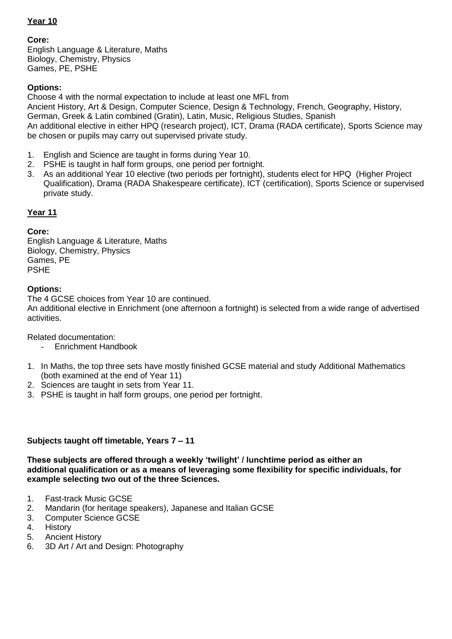# **Year 10**

#### **Core:**

Games, PE, PSHE Biology, Chemistry, Physics English Language & Literature, Maths

# **Options:**

be chosen or pupils may carry out supervised private study. An additional elective in either HPQ (research project), ICT, Drama (RADA certificate), Sports Science may German, Greek & Latin combined (Gratin), Latin, Music, Religious Studies, Spanish Ancient History, Art & Design, Computer Science, Design & Technology, French, Geography, History, Choose 4 with the normal expectation to include at least one MFL from

- 1. English and Science are taught in forms during Year 10.
- 2. PSHE is taught in half form groups, one period per fortnight.
- private study. Qualification), Drama (RADA Shakespeare certificate), ICT (certification), Sports Science or supervised 3. As an additional Year 10 elective (two periods per fortnight), students elect for HPQ (Higher Project

# **Year 11**

# **Core:**

PSHE Games, PE Biology, Chemistry, Physics English Language & Literature, Maths

# **Options:**

The 4 GCSE choices from Year 10 are continued.

activities. An additional elective in Enrichment (one afternoon a fortnight) is selected from a wide range of advertised

Related documentation:

- Enrichment Handbook
- (both examined at the end of Year 11) 1. In Maths, the top three sets have mostly finished GCSE material and study Additional Mathematics
- 2. Sciences are taught in sets from Year 11.
- 3. PSHE is taught in half form groups, one period per fortnight.

# **Subjects taught off timetable, Years 7 – 11**

**example selecting two out of the three Sciences. additional qualification or as a means of leveraging some flexibility for specific individuals, for These subjects are offered through a weekly 'twilight' / lunchtime period as either an** 

- 1. Fast-track Music GCSE
- 2. Mandarin (for heritage speakers), Japanese and Italian GCSE
- 3. Computer Science GCSE
- 4. History
- 5. Ancient History
- 6. 3D Art / Art and Design: Photography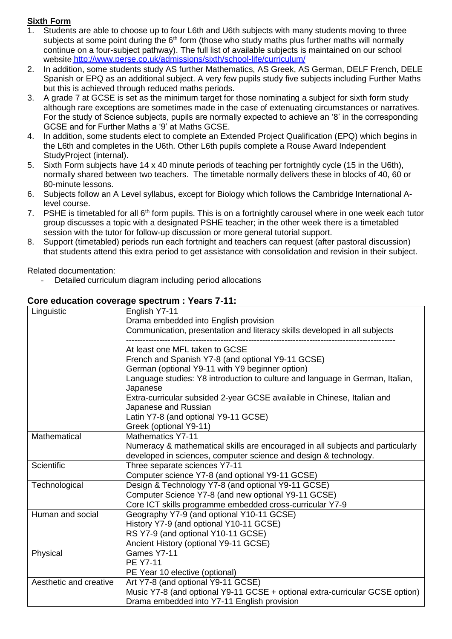# **Sixth Form**

- website [http://www.perse.co.uk/admissions/sixth/school-life/curriculum/](https://www.perse.co.uk/admissions/sixth/school-life/curriculum/) continue on a four-subject pathway). The full list of available subjects is maintained on our school subjects at some point during the  $6<sup>th</sup>$  form (those who study maths plus further maths will normally Students are able to choose up to four L6th and U6th subjects with many students moving to three
- but this is achieved through reduced maths periods. Spanish or EPQ as an additional subject. A very few pupils study five subjects including Further Maths 2. In addition, some students study AS further Mathematics, AS Greek, AS German, DELF French, DELE
- GCSE and for Further Maths a '9' at Maths GCSE. For the study of Science subjects, pupils are normally expected to achieve an '8' in the corresponding although rare exceptions are sometimes made in the case of extenuating circumstances or narratives. 3. A grade 7 at GCSE is set as the minimum target for those nominating a subject for sixth form study
- 4. In addition, some students elect to complete an Extended Project Qualification (EPQ) which begins in StudyProject (internal). the L6th and completes in the U6th. Other L6th pupils complete a Rouse Award Independent
- 80-minute lessons. normally shared between two teachers. The timetable normally delivers these in blocks of 40, 60 or 5. Sixth Form subjects have 14 x 40 minute periods of teaching per fortnightly cycle (15 in the U6th),
- level course. 6. Subjects follow an A Level syllabus, except for Biology which follows the Cambridge International A-
- session with the tutor for follow-up discussion or more general tutorial support. group discusses a topic with a designated PSHE teacher; in the other week there is a timetabled 7. PSHE is timetabled for all 6<sup>th</sup> form pupils. This is on a fortnightly carousel where in one week each tutor
- that students attend this extra period to get assistance with consolidation and revision in their subject. 8. Support (timetabled) periods run each fortnight and teachers can request (after pastoral discussion)

Related documentation:

Detailed curriculum diagram including period allocations

#### **Core education coverage spectrum : Years 7-11:**

| Linguistic             | English Y7-11<br>Drama embedded into English provision                                          |
|------------------------|-------------------------------------------------------------------------------------------------|
|                        | Communication, presentation and literacy skills developed in all subjects                       |
|                        | At least one MFL taken to GCSE                                                                  |
|                        | French and Spanish Y7-8 (and optional Y9-11 GCSE)                                               |
|                        | German (optional Y9-11 with Y9 beginner option)                                                 |
|                        | Language studies: Y8 introduction to culture and language in German, Italian,<br>Japanese       |
|                        | Extra-curricular subsided 2-year GCSE available in Chinese, Italian and<br>Japanese and Russian |
|                        | Latin Y7-8 (and optional Y9-11 GCSE)                                                            |
|                        | Greek (optional Y9-11)                                                                          |
| Mathematical           | <b>Mathematics Y7-11</b>                                                                        |
|                        | Numeracy & mathematical skills are encouraged in all subjects and particularly                  |
|                        | developed in sciences, computer science and design & technology.                                |
| Scientific             | Three separate sciences Y7-11                                                                   |
|                        | Computer science Y7-8 (and optional Y9-11 GCSE)                                                 |
| Technological          | Design & Technology Y7-8 (and optional Y9-11 GCSE)                                              |
|                        | Computer Science Y7-8 (and new optional Y9-11 GCSE)                                             |
|                        | Core ICT skills programme embedded cross-curricular Y7-9                                        |
| Human and social       | Geography Y7-9 (and optional Y10-11 GCSE)                                                       |
|                        | History Y7-9 (and optional Y10-11 GCSE)                                                         |
|                        | RS Y7-9 (and optional Y10-11 GCSE)                                                              |
|                        | Ancient History (optional Y9-11 GCSE)                                                           |
| Physical               | Games Y7-11                                                                                     |
|                        | <b>PE Y7-11</b>                                                                                 |
|                        | PE Year 10 elective (optional)                                                                  |
| Aesthetic and creative | Art Y7-8 (and optional Y9-11 GCSE)                                                              |
|                        | Music Y7-8 (and optional Y9-11 GCSE + optional extra-curricular GCSE option)                    |
|                        | Drama embedded into Y7-11 English provision                                                     |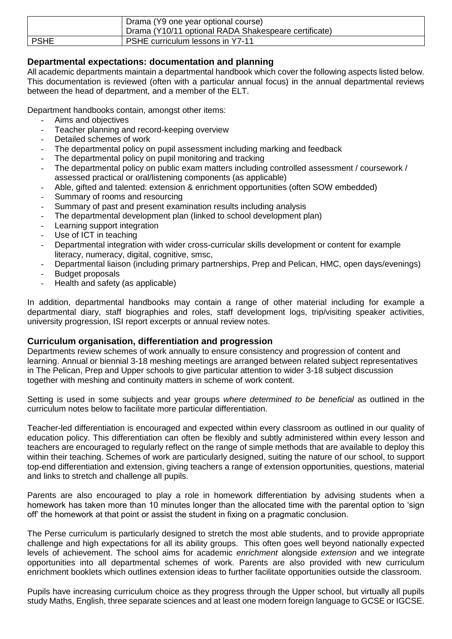|             | Drama (Y9 one year optional course)                  |
|-------------|------------------------------------------------------|
|             | Drama (Y10/11 optional RADA Shakespeare certificate) |
| <b>PSHE</b> | <b>PSHE curriculum lessons in Y7-11</b>              |

# **Departmental expectations: documentation and planning**

All academic departments maintain a departmental handbook which cover the following aspects listed below. This documentation is reviewed (often with a particular annual focus) in the annual departmental reviews between the head of department, and a member of the ELT.

Department handbooks contain, amongst other items:

- Aims and objectives
- Teacher planning and record-keeping overview
- Detailed schemes of work
- The departmental policy on pupil assessment including marking and feedback
- The departmental policy on pupil monitoring and tracking
- The departmental policy on public exam matters including controlled assessment / coursework / assessed practical or oral/listening components (as applicable)
- Able, gifted and talented: extension & enrichment opportunities (often SOW embedded)
- Summary of rooms and resourcing
- Summary of past and present examination results including analysis
- The departmental development plan (linked to school development plan)
- Learning support integration
- Use of ICT in teaching
- Departmental integration with wider cross-curricular skills development or content for example literacy, numeracy, digital, cognitive, smsc,
- Departmental liaison (including primary partnerships, Prep and Pelican, HMC, open days/evenings)
- Budget proposals
- Health and safety (as applicable)

In addition, departmental handbooks may contain a range of other material including for example a departmental diary, staff biographies and roles, staff development logs, trip/visiting speaker activities, university progression, ISI report excerpts or annual review notes.

# **Curriculum organisation, differentiation and progression**

Departments review schemes of work annually to ensure consistency and progression of content and learning. Annual or biennial 3-18 meshing meetings are arranged between related subject representatives in The Pelican, Prep and Upper schools to give particular attention to wider 3-18 subject discussion together with meshing and continuity matters in scheme of work content.

Setting is used in some subjects and year groups *where determined to be beneficial* as outlined in the curriculum notes below to facilitate more particular differentiation.

Teacher-led differentiation is encouraged and expected within every classroom as outlined in our quality of education policy. This differentiation can often be flexibly and subtly administered within every lesson and teachers are encouraged to regularly reflect on the range of simple methods that are available to deploy this within their teaching. Schemes of work are particularly designed, suiting the nature of our school, to support top-end differentiation and extension, giving teachers a range of extension opportunities, questions, material and links to stretch and challenge all pupils.

Parents are also encouraged to play a role in homework differentiation by advising students when a homework has taken more than 10 minutes longer than the allocated time with the parental option to 'sign off' the homework at that point or assist the student in fixing on a pragmatic conclusion.

The Perse curriculum is particularly designed to stretch the most able students, and to provide appropriate challenge and high expectations for all its ability groups. This often goes well beyond nationally expected levels of achievement. The school aims for academic *enrichment* alongside *extension* and we integrate opportunities into all departmental schemes of work. Parents are also provided with new curriculum enrichment booklets which outlines extension ideas to further facilitate opportunities outside the classroom.

Pupils have increasing curriculum choice as they progress through the Upper school, but virtually all pupils study Maths, English, three separate sciences and at least one modern foreign language to GCSE or IGCSE.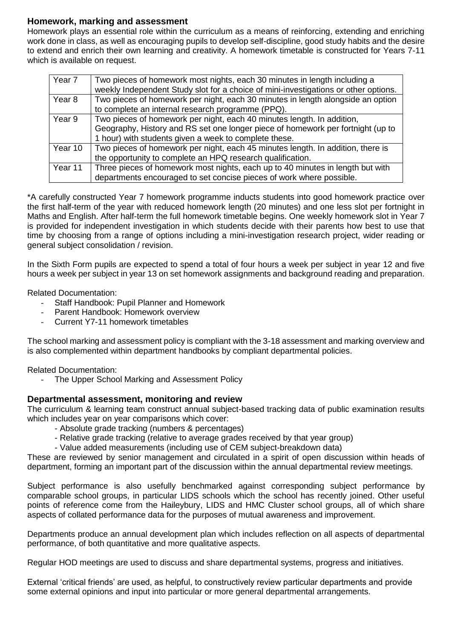# **Homework, marking and assessment**

Homework plays an essential role within the curriculum as a means of reinforcing, extending and enriching work done in class, as well as encouraging pupils to develop self-discipline, good study habits and the desire to extend and enrich their own learning and creativity. A homework timetable is constructed for Years 7-11 which is available on request.

| Year 7  | Two pieces of homework most nights, each 30 minutes in length including a           |
|---------|-------------------------------------------------------------------------------------|
|         | weekly Independent Study slot for a choice of mini-investigations or other options. |
| Year 8  | Two pieces of homework per night, each 30 minutes in length alongside an option     |
|         | to complete an internal research programme (PPQ).                                   |
| Year 9  | Two pieces of homework per night, each 40 minutes length. In addition,              |
|         | Geography, History and RS set one longer piece of homework per fortnight (up to     |
|         | 1 hour) with students given a week to complete these.                               |
| Year 10 | Two pieces of homework per night, each 45 minutes length. In addition, there is     |
|         | the opportunity to complete an HPQ research qualification.                          |
| Year 11 | Three pieces of homework most nights, each up to 40 minutes in length but with      |
|         | departments encouraged to set concise pieces of work where possible.                |

\*A carefully constructed Year 7 homework programme inducts students into good homework practice over the first half-term of the year with reduced homework length (20 minutes) and one less slot per fortnight in Maths and English. After half-term the full homework timetable begins. One weekly homework slot in Year 7 is provided for independent investigation in which students decide with their parents how best to use that time by choosing from a range of options including a mini-investigation research project, wider reading or general subject consolidation / revision.

In the Sixth Form pupils are expected to spend a total of four hours a week per subject in year 12 and five hours a week per subject in year 13 on set homework assignments and background reading and preparation.

Related Documentation:

- Staff Handbook: Pupil Planner and Homework
- Parent Handbook: Homework overview
- Current Y7-11 homework timetables

The school marking and assessment policy is compliant with the 3-18 assessment and marking overview and is also complemented within department handbooks by compliant departmental policies.

Related Documentation:

The Upper School Marking and Assessment Policy

#### **Departmental assessment, monitoring and review**

The curriculum & learning team construct annual subject-based tracking data of public examination results which includes year on year comparisons which cover:

- Absolute grade tracking (numbers & percentages)
- Relative grade tracking (relative to average grades received by that year group)
- Value added measurements (including use of CEM subject-breakdown data)

These are reviewed by senior management and circulated in a spirit of open discussion within heads of department, forming an important part of the discussion within the annual departmental review meetings.

Subject performance is also usefully benchmarked against corresponding subject performance by comparable school groups, in particular LIDS schools which the school has recently joined. Other useful points of reference come from the Haileybury, LIDS and HMC Cluster school groups, all of which share aspects of collated performance data for the purposes of mutual awareness and improvement.

Departments produce an annual development plan which includes reflection on all aspects of departmental performance, of both quantitative and more qualitative aspects.

Regular HOD meetings are used to discuss and share departmental systems, progress and initiatives.

External 'critical friends' are used, as helpful, to constructively review particular departments and provide some external opinions and input into particular or more general departmental arrangements.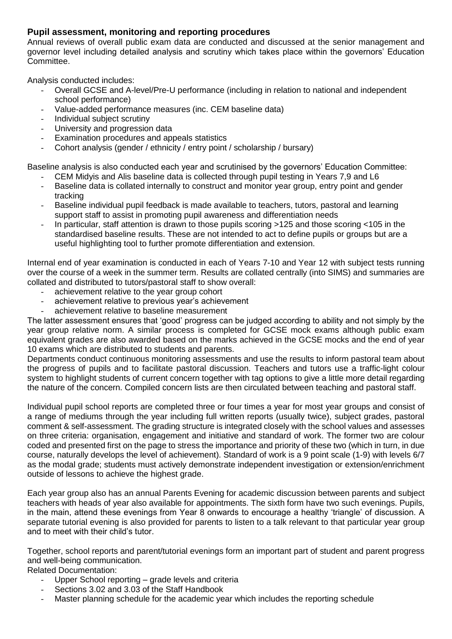# **Pupil assessment, monitoring and reporting procedures**

Annual reviews of overall public exam data are conducted and discussed at the senior management and governor level including detailed analysis and scrutiny which takes place within the governors' Education Committee.

Analysis conducted includes:

- Overall GCSE and A-level/Pre-U performance (including in relation to national and independent school performance)
- Value-added performance measures (inc. CEM baseline data)
- Individual subject scrutiny
- University and progression data
- Examination procedures and appeals statistics
- Cohort analysis (gender / ethnicity / entry point / scholarship / bursary)

Baseline analysis is also conducted each year and scrutinised by the governors' Education Committee:

- CEM Midyis and Alis baseline data is collected through pupil testing in Years 7,9 and L6
- Baseline data is collated internally to construct and monitor year group, entry point and gender tracking
- Baseline individual pupil feedback is made available to teachers, tutors, pastoral and learning support staff to assist in promoting pupil awareness and differentiation needs
- In particular, staff attention is drawn to those pupils scoring >125 and those scoring <105 in the standardised baseline results. These are not intended to act to define pupils or groups but are a useful highlighting tool to further promote differentiation and extension.

Internal end of year examination is conducted in each of Years 7-10 and Year 12 with subject tests running over the course of a week in the summer term. Results are collated centrally (into SIMS) and summaries are collated and distributed to tutors/pastoral staff to show overall:

- achievement relative to the year group cohort
- achievement relative to previous year's achievement
- achievement relative to baseline measurement

The latter assessment ensures that 'good' progress can be judged according to ability and not simply by the year group relative norm. A similar process is completed for GCSE mock exams although public exam equivalent grades are also awarded based on the marks achieved in the GCSE mocks and the end of year 10 exams which are distributed to students and parents.

Departments conduct continuous monitoring assessments and use the results to inform pastoral team about the progress of pupils and to facilitate pastoral discussion. Teachers and tutors use a traffic-light colour system to highlight students of current concern together with tag options to give a little more detail regarding the nature of the concern. Compiled concern lists are then circulated between teaching and pastoral staff.

Individual pupil school reports are completed three or four times a year for most year groups and consist of a range of mediums through the year including full written reports (usually twice), subject grades, pastoral comment & self-assessment. The grading structure is integrated closely with the school values and assesses on three criteria: organisation, engagement and initiative and standard of work. The former two are colour coded and presented first on the page to stress the importance and priority of these two (which in turn, in due course, naturally develops the level of achievement). Standard of work is a 9 point scale (1-9) with levels 6/7 as the modal grade; students must actively demonstrate independent investigation or extension/enrichment outside of lessons to achieve the highest grade.

Each year group also has an annual Parents Evening for academic discussion between parents and subject teachers with heads of year also available for appointments. The sixth form have two such evenings. Pupils, in the main, attend these evenings from Year 8 onwards to encourage a healthy 'triangle' of discussion. A separate tutorial evening is also provided for parents to listen to a talk relevant to that particular year group and to meet with their child's tutor.

Together, school reports and parent/tutorial evenings form an important part of student and parent progress and well-being communication.

Related Documentation:

- Upper School reporting grade levels and criteria
- Sections 3.02 and 3.03 of the Staff Handbook
- Master planning schedule for the academic year which includes the reporting schedule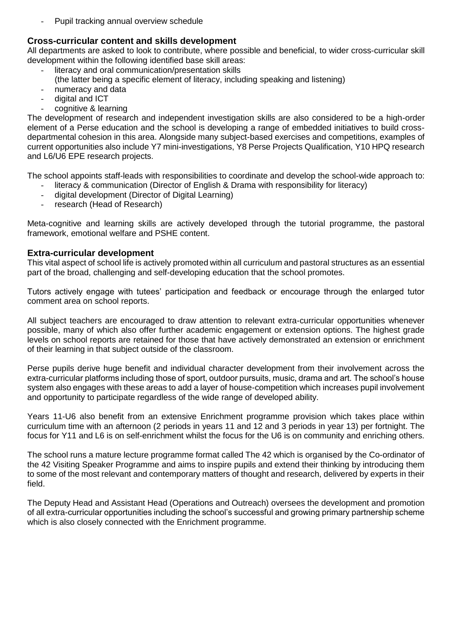Pupil tracking annual overview schedule

#### **Cross-curricular content and skills development**

All departments are asked to look to contribute, where possible and beneficial, to wider cross-curricular skill development within the following identified base skill areas:

- literacy and oral communication/presentation skills
	- (the latter being a specific element of literacy, including speaking and listening)
- numeracy and data
- digital and ICT
- cognitive & learning

The development of research and independent investigation skills are also considered to be a high-order element of a Perse education and the school is developing a range of embedded initiatives to build crossdepartmental cohesion in this area. Alongside many subject-based exercises and competitions, examples of current opportunities also include Y7 mini-investigations, Y8 Perse Projects Qualification, Y10 HPQ research and L6/U6 EPE research projects.

The school appoints staff-leads with responsibilities to coordinate and develop the school-wide approach to:

- literacy & communication (Director of English & Drama with responsibility for literacy)
- digital development (Director of Digital Learning)
- research (Head of Research)

Meta-cognitive and learning skills are actively developed through the tutorial programme, the pastoral framework, emotional welfare and PSHE content.

#### **Extra-curricular development**

This vital aspect of school life is actively promoted within all curriculum and pastoral structures as an essential part of the broad, challenging and self-developing education that the school promotes.

Tutors actively engage with tutees' participation and feedback or encourage through the enlarged tutor comment area on school reports.

All subject teachers are encouraged to draw attention to relevant extra-curricular opportunities whenever possible, many of which also offer further academic engagement or extension options. The highest grade levels on school reports are retained for those that have actively demonstrated an extension or enrichment of their learning in that subject outside of the classroom.

Perse pupils derive huge benefit and individual character development from their involvement across the extra-curricular platforms including those of sport, outdoor pursuits, music, drama and art. The school's house system also engages with these areas to add a layer of house-competition which increases pupil involvement and opportunity to participate regardless of the wide range of developed ability.

Years 11-U6 also benefit from an extensive Enrichment programme provision which takes place within curriculum time with an afternoon (2 periods in years 11 and 12 and 3 periods in year 13) per fortnight. The focus for Y11 and L6 is on self-enrichment whilst the focus for the U6 is on community and enriching others.

The school runs a mature lecture programme format called The 42 which is organised by the Co-ordinator of the 42 Visiting Speaker Programme and aims to inspire pupils and extend their thinking by introducing them to some of the most relevant and contemporary matters of thought and research, delivered by experts in their field.

The Deputy Head and Assistant Head (Operations and Outreach) oversees the development and promotion of all extra-curricular opportunities including the school's successful and growing primary partnership scheme which is also closely connected with the Enrichment programme.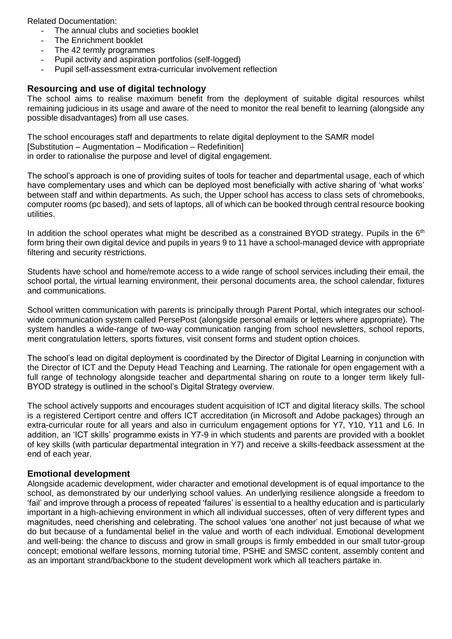Related Documentation:

- The annual clubs and societies booklet
- The Enrichment booklet
- The 42 termly programmes
- Pupil activity and aspiration portfolios (self-logged)
- Pupil self-assessment extra-curricular involvement reflection

# **Resourcing and use of digital technology**

The school aims to realise maximum benefit from the deployment of suitable digital resources whilst remaining judicious in its usage and aware of the need to monitor the real benefit to learning (alongside any possible disadvantages) from all use cases.

The school encourages staff and departments to relate digital deployment to the SAMR model [Substitution – Augmentation – Modification – Redefinition] in order to rationalise the purpose and level of digital engagement.

The school's approach is one of providing suites of tools for teacher and departmental usage, each of which have complementary uses and which can be deployed most beneficially with active sharing of 'what works' between staff and within departments. As such, the Upper school has access to class sets of chromebooks, computer rooms (pc based), and sets of laptops, all of which can be booked through central resource booking utilities.

In addition the school operates what might be described as a constrained BYOD strategy. Pupils in the  $6<sup>th</sup>$ form bring their own digital device and pupils in years 9 to 11 have a school-managed device with appropriate filtering and security restrictions.

Students have school and home/remote access to a wide range of school services including their email, the school portal, the virtual learning environment, their personal documents area, the school calendar, fixtures and communications.

School written communication with parents is principally through Parent Portal, which integrates our schoolwide communication system called PersePost (alongside personal emails or letters where appropriate). The system handles a wide-range of two-way communication ranging from school newsletters, school reports, merit congratulation letters, sports fixtures, visit consent forms and student option choices.

The school's lead on digital deployment is coordinated by the Director of Digital Learning in conjunction with the Director of ICT and the Deputy Head Teaching and Learning. The rationale for open engagement with a full range of technology alongside teacher and departmental sharing on route to a longer term likely full-BYOD strategy is outlined in the school's Digital Strategy overview.

The school actively supports and encourages student acquisition of ICT and digital literacy skills. The school is a registered Certiport centre and offers ICT accreditation (in Microsoft and Adobe packages) through an extra-curricular route for all years and also in curriculum engagement options for Y7, Y10, Y11 and L6. In addition, an 'ICT skills' programme exists in Y7-9 in which students and parents are provided with a booklet of key skills (with particular departmental integration in Y7) and receive a skills-feedback assessment at the end of each year.

#### **Emotional development**

Alongside academic development, wider character and emotional development is of equal importance to the school, as demonstrated by our underlying school values. An underlying resilience alongside a freedom to 'fail' and improve through a process of repeated 'failures' is essential to a healthy education and is particularly important in a high-achieving environment in which all individual successes, often of very different types and magnitudes, need cherishing and celebrating. The school values 'one another' not just because of what we do but because of a fundamental belief in the value and worth of each individual. Emotional development and well-being: the chance to discuss and grow in small groups is firmly embedded in our small tutor-group concept; emotional welfare lessons, morning tutorial time, PSHE and SMSC content, assembly content and as an important strand/backbone to the student development work which all teachers partake in.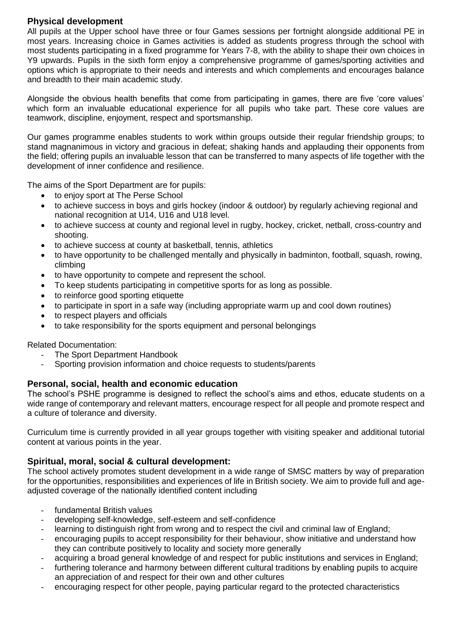# **Physical development**

All pupils at the Upper school have three or four Games sessions per fortnight alongside additional PE in most years. Increasing choice in Games activities is added as students progress through the school with most students participating in a fixed programme for Years 7-8, with the ability to shape their own choices in Y9 upwards. Pupils in the sixth form enjoy a comprehensive programme of games/sporting activities and options which is appropriate to their needs and interests and which complements and encourages balance and breadth to their main academic study.

Alongside the obvious health benefits that come from participating in games, there are five 'core values' which form an invaluable educational experience for all pupils who take part. These core values are teamwork, discipline, enjoyment, respect and sportsmanship.

Our games programme enables students to work within groups outside their regular friendship groups; to stand magnanimous in victory and gracious in defeat; shaking hands and applauding their opponents from the field; offering pupils an invaluable lesson that can be transferred to many aspects of life together with the development of inner confidence and resilience.

The aims of the Sport Department are for pupils:

- to enjoy sport at The Perse School
- to achieve success in boys and girls hockey (indoor & outdoor) by regularly achieving regional and national recognition at U14, U16 and U18 level.
- to achieve success at county and regional level in rugby, hockey, cricket, netball, cross-country and shooting.
- to achieve success at county at basketball, tennis, athletics
- to have opportunity to be challenged mentally and physically in badminton, football, squash, rowing, climbing
- to have opportunity to compete and represent the school.
- To keep students participating in competitive sports for as long as possible.
- to reinforce good sporting etiquette
- to participate in sport in a safe way (including appropriate warm up and cool down routines)
- to respect players and officials
- to take responsibility for the sports equipment and personal belongings

#### Related Documentation:

- The Sport Department Handbook
- Sporting provision information and choice requests to students/parents

# **Personal, social, health and economic education**

The school's PSHE programme is designed to reflect the school's aims and ethos, educate students on a wide range of contemporary and relevant matters, encourage respect for all people and promote respect and a culture of tolerance and diversity.

Curriculum time is currently provided in all year groups together with visiting speaker and additional tutorial content at various points in the year.

# **Spiritual, moral, social & cultural development:**

The school actively promotes student development in a wide range of SMSC matters by way of preparation for the opportunities, responsibilities and experiences of life in British society. We aim to provide full and ageadjusted coverage of the nationally identified content including

- fundamental British values
- developing self-knowledge, self-esteem and self-confidence
- learning to distinguish right from wrong and to respect the civil and criminal law of England;
- encouraging pupils to accept responsibility for their behaviour, show initiative and understand how they can contribute positively to locality and society more generally
- acquiring a broad general knowledge of and respect for public institutions and services in England;
- furthering tolerance and harmony between different cultural traditions by enabling pupils to acquire an appreciation of and respect for their own and other cultures
- encouraging respect for other people, paying particular regard to the protected characteristics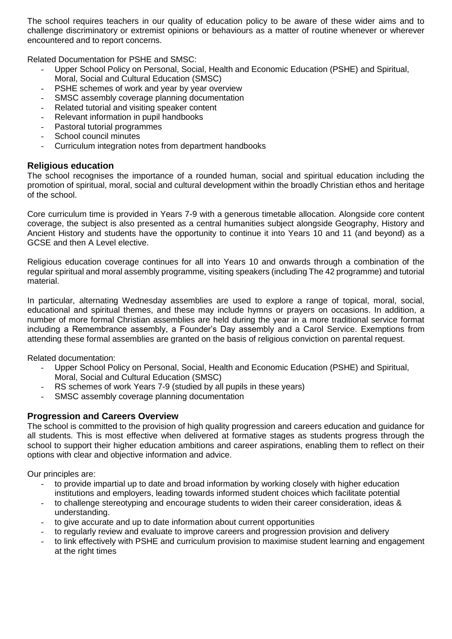The school requires teachers in our quality of education policy to be aware of these wider aims and to challenge discriminatory or extremist opinions or behaviours as a matter of routine whenever or wherever encountered and to report concerns.

Related Documentation for PSHE and SMSC:

- Upper School Policy on Personal, Social, Health and Economic Education (PSHE) and Spiritual, Moral, Social and Cultural Education (SMSC)
- PSHE schemes of work and year by year overview
- SMSC assembly coverage planning documentation
- Related tutorial and visiting speaker content
- Relevant information in pupil handbooks
- Pastoral tutorial programmes
- School council minutes
- Curriculum integration notes from department handbooks

# **Religious education**

The school recognises the importance of a rounded human, social and spiritual education including the promotion of spiritual, moral, social and cultural development within the broadly Christian ethos and heritage of the school.

Core curriculum time is provided in Years 7-9 with a generous timetable allocation. Alongside core content coverage, the subject is also presented as a central humanities subject alongside Geography, History and Ancient History and students have the opportunity to continue it into Years 10 and 11 (and beyond) as a GCSE and then A Level elective.

Religious education coverage continues for all into Years 10 and onwards through a combination of the regular spiritual and moral assembly programme, visiting speakers (including The 42 programme) and tutorial material.

In particular, alternating Wednesday assemblies are used to explore a range of topical, moral, social, educational and spiritual themes, and these may include hymns or prayers on occasions. In addition, a number of more formal Christian assemblies are held during the year in a more traditional service format including a Remembrance assembly, a Founder's Day assembly and a Carol Service. Exemptions from attending these formal assemblies are granted on the basis of religious conviction on parental request.

Related documentation:

- Upper School Policy on Personal, Social, Health and Economic Education (PSHE) and Spiritual, Moral, Social and Cultural Education (SMSC)
- RS schemes of work Years 7-9 (studied by all pupils in these years)
- SMSC assembly coverage planning documentation

# **Progression and Careers Overview**

The school is committed to the provision of high quality progression and careers education and guidance for all students. This is most effective when delivered at formative stages as students progress through the school to support their higher education ambitions and career aspirations, enabling them to reflect on their options with clear and objective information and advice.

Our principles are:

- to provide impartial up to date and broad information by working closely with higher education institutions and employers, leading towards informed student choices which facilitate potential
- to challenge stereotyping and encourage students to widen their career consideration, ideas & understanding.
- to give accurate and up to date information about current opportunities
- to regularly review and evaluate to improve careers and progression provision and delivery
- to link effectively with PSHE and curriculum provision to maximise student learning and engagement at the right times